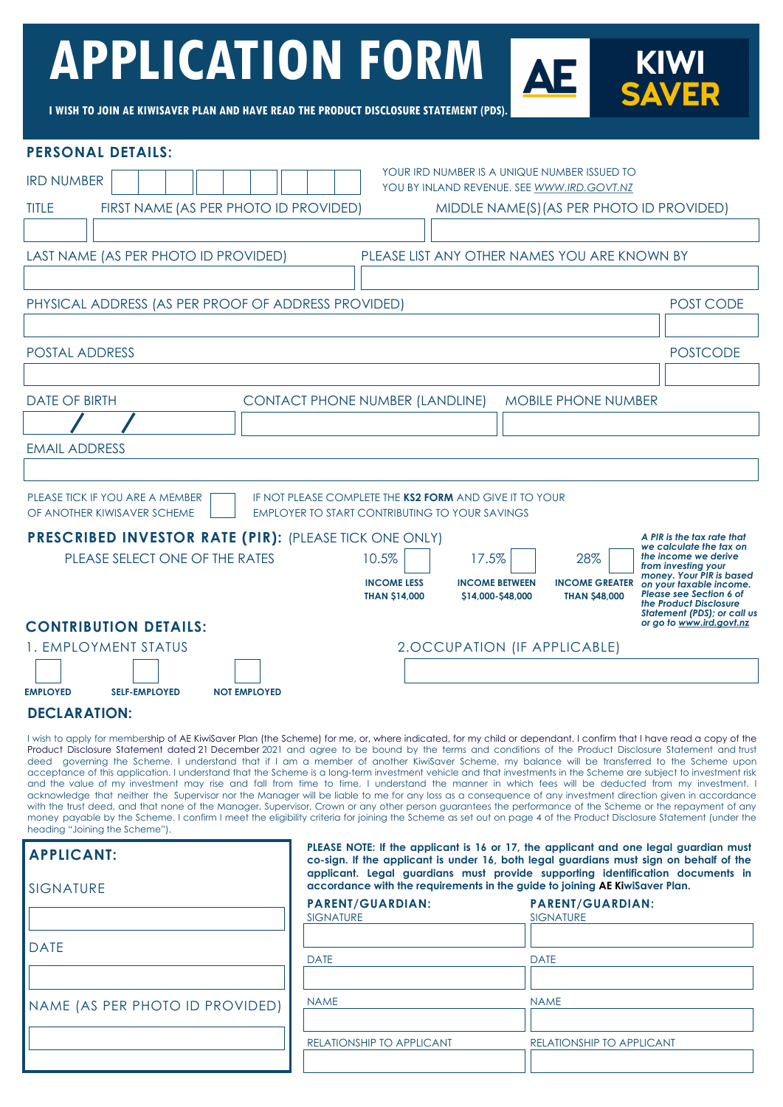# **APPLICATION FORM**

**I WISH TO JOIN AE KIWISAVER PLAN AND HAVE READ THE PRODUCT DISCLOSURE STATEMENT (PDS).**

| <b>PERSONAL DETAILS:</b>                                                                                                                                                                                                                                                                                                                                                                                                                                                                     |                                                                                                                                                               |                                                                                                                                                                                |  |  |  |
|----------------------------------------------------------------------------------------------------------------------------------------------------------------------------------------------------------------------------------------------------------------------------------------------------------------------------------------------------------------------------------------------------------------------------------------------------------------------------------------------|---------------------------------------------------------------------------------------------------------------------------------------------------------------|--------------------------------------------------------------------------------------------------------------------------------------------------------------------------------|--|--|--|
| YOUR IRD NUMBER IS A UNIQUE NUMBER ISSUED TO<br><b>IRD NUMBER</b><br>YOU BY INLAND REVENUE. SEE WWW.IRD.GOVT.NZ                                                                                                                                                                                                                                                                                                                                                                              |                                                                                                                                                               |                                                                                                                                                                                |  |  |  |
| <b>TITLE</b>                                                                                                                                                                                                                                                                                                                                                                                                                                                                                 | FIRST NAME (AS PER PHOTO ID PROVIDED)<br>MIDDLE NAME(S) (AS PER PHOTO ID PROVIDED)                                                                            |                                                                                                                                                                                |  |  |  |
|                                                                                                                                                                                                                                                                                                                                                                                                                                                                                              |                                                                                                                                                               |                                                                                                                                                                                |  |  |  |
| LAST NAME (AS PER PHOTO ID PROVIDED)                                                                                                                                                                                                                                                                                                                                                                                                                                                         | PLEASE LIST ANY OTHER NAMES YOU ARE KNOWN BY                                                                                                                  |                                                                                                                                                                                |  |  |  |
|                                                                                                                                                                                                                                                                                                                                                                                                                                                                                              |                                                                                                                                                               |                                                                                                                                                                                |  |  |  |
| PHYSICAL ADDRESS (AS PER PROOF OF ADDRESS PROVIDED)                                                                                                                                                                                                                                                                                                                                                                                                                                          |                                                                                                                                                               | POST CODE                                                                                                                                                                      |  |  |  |
|                                                                                                                                                                                                                                                                                                                                                                                                                                                                                              |                                                                                                                                                               |                                                                                                                                                                                |  |  |  |
| <b>POSTAL ADDRESS</b><br><b>POSTCODE</b>                                                                                                                                                                                                                                                                                                                                                                                                                                                     |                                                                                                                                                               |                                                                                                                                                                                |  |  |  |
| <b>DATE OF BIRTH</b>                                                                                                                                                                                                                                                                                                                                                                                                                                                                         |                                                                                                                                                               | <b>MOBILE PHONE NUMBER</b>                                                                                                                                                     |  |  |  |
|                                                                                                                                                                                                                                                                                                                                                                                                                                                                                              | <b>CONTACT PHONE NUMBER (LANDLINE)</b>                                                                                                                        |                                                                                                                                                                                |  |  |  |
| <b>EMAIL ADDRESS</b>                                                                                                                                                                                                                                                                                                                                                                                                                                                                         |                                                                                                                                                               |                                                                                                                                                                                |  |  |  |
|                                                                                                                                                                                                                                                                                                                                                                                                                                                                                              |                                                                                                                                                               |                                                                                                                                                                                |  |  |  |
| PLEASE TICK IF YOU ARE A MEMBER                                                                                                                                                                                                                                                                                                                                                                                                                                                              | IF NOT PLEASE COMPLETE THE KS2 FORM AND GIVE IT TO YOUR                                                                                                       |                                                                                                                                                                                |  |  |  |
| OF ANOTHER KIWISAVER SCHEME                                                                                                                                                                                                                                                                                                                                                                                                                                                                  | <b>EMPLOYER TO START CONTRIBUTING TO YOUR SAVINGS</b>                                                                                                         |                                                                                                                                                                                |  |  |  |
| <b>PRESCRIBED INVESTOR RATE (PIR):</b> (PLEASE TICK ONE ONLY)<br>PLEASE SELECT ONE OF THE RATES                                                                                                                                                                                                                                                                                                                                                                                              | 10.5%<br>17.5%                                                                                                                                                | A PIR is the tax rate that<br>we calculate the tax on<br>28%<br>the income we derive                                                                                           |  |  |  |
|                                                                                                                                                                                                                                                                                                                                                                                                                                                                                              | <b>INCOME LESS</b><br><b>INCOME BETWEEN</b>                                                                                                                   | from investing your<br>money. Your PIR is based<br><b>INCOME GREATER</b>                                                                                                       |  |  |  |
|                                                                                                                                                                                                                                                                                                                                                                                                                                                                                              | <b>THAN \$14,000</b><br>\$14,000-\$48,000                                                                                                                     | on your taxable income.<br>Please see Section 6 of<br><b>THAN \$48,000</b><br>the Product Disclosure                                                                           |  |  |  |
| <b>CONTRIBUTION DETAILS:</b>                                                                                                                                                                                                                                                                                                                                                                                                                                                                 |                                                                                                                                                               | <b>Statement (PDS); or call us</b><br>or go to www.ird.govt.nz                                                                                                                 |  |  |  |
| 1. EMPLOYMENT STATUS                                                                                                                                                                                                                                                                                                                                                                                                                                                                         | 2.OCCUPATION (IF APPLICABLE)                                                                                                                                  |                                                                                                                                                                                |  |  |  |
|                                                                                                                                                                                                                                                                                                                                                                                                                                                                                              |                                                                                                                                                               |                                                                                                                                                                                |  |  |  |
| <b>EMPLOYED</b><br><b>SELF-EMPLOYED</b><br><b>NOT EMPLOYED</b><br><b>DECLARATION:</b>                                                                                                                                                                                                                                                                                                                                                                                                        |                                                                                                                                                               |                                                                                                                                                                                |  |  |  |
| I wish to apply for membership of AE KiwiSaver Plan (the Scheme) for me, or, where indicated, for my child or dependant. I confirm that I have read a copy of the                                                                                                                                                                                                                                                                                                                            |                                                                                                                                                               |                                                                                                                                                                                |  |  |  |
| Product Disclosure Statement dated 21 December 2021 and agree to be bound by the terms and conditions of the Product Disclosure Statement and trust<br>deed governing the Scheme. I understand that if I am a member of another KiwiSaver Scheme, my balance will be transferred to the Scheme upon                                                                                                                                                                                          |                                                                                                                                                               |                                                                                                                                                                                |  |  |  |
| acceptance of this application. I understand that the Scheme is a long-term investment vehicle and that investments in the Scheme are subject to investment risk<br>and the value of my investment may rise and fall from time to time. I understand the manner in which fees will be deducted from my investment. I                                                                                                                                                                         |                                                                                                                                                               |                                                                                                                                                                                |  |  |  |
| acknowledge that neither the Supervisor nor the Manager will be liable to me for any loss as a consequence of any investment direction given in accordance<br>with the trust deed, and that none of the Manager, Supervisor, Crown or any other person guarantees the performance of the Scheme or the repayment of any<br>money payable by the Scheme. I confirm I meet the eligibility criteria for joining the Scheme as set out on page 4 of the Product Disclosure Statement (under the |                                                                                                                                                               |                                                                                                                                                                                |  |  |  |
| heading "Joining the Scheme").                                                                                                                                                                                                                                                                                                                                                                                                                                                               |                                                                                                                                                               |                                                                                                                                                                                |  |  |  |
| <b>APPLICANT:</b>                                                                                                                                                                                                                                                                                                                                                                                                                                                                            |                                                                                                                                                               | PLEASE NOTE: If the applicant is 16 or 17, the applicant and one legal guardian must<br>co-sign. If the applicant is under 16, both legal guardians must sign on behalf of the |  |  |  |
| <b>SIGNATURE</b>                                                                                                                                                                                                                                                                                                                                                                                                                                                                             | applicant. Legal guardians must provide supporting identification documents in<br>accordance with the requirements in the guide to joining AE KiwiSaver Plan. |                                                                                                                                                                                |  |  |  |
|                                                                                                                                                                                                                                                                                                                                                                                                                                                                                              | <b>PARENT/GUARDIAN:</b><br><b>SIGNATURE</b>                                                                                                                   | <b>PARENT/GUARDIAN:</b><br><b>SIGNATURE</b>                                                                                                                                    |  |  |  |
|                                                                                                                                                                                                                                                                                                                                                                                                                                                                                              |                                                                                                                                                               |                                                                                                                                                                                |  |  |  |
| <b>DATE</b>                                                                                                                                                                                                                                                                                                                                                                                                                                                                                  | <b>DATE</b>                                                                                                                                                   | <b>DATE</b>                                                                                                                                                                    |  |  |  |
|                                                                                                                                                                                                                                                                                                                                                                                                                                                                                              |                                                                                                                                                               |                                                                                                                                                                                |  |  |  |
| NAME (AS PER PHOTO ID PROVIDED)                                                                                                                                                                                                                                                                                                                                                                                                                                                              | <b>NAME</b>                                                                                                                                                   | <b>NAME</b>                                                                                                                                                                    |  |  |  |
|                                                                                                                                                                                                                                                                                                                                                                                                                                                                                              | RELATIONSHIP TO APPLICANT                                                                                                                                     | RELATIONSHIP TO APPLICANT                                                                                                                                                      |  |  |  |
|                                                                                                                                                                                                                                                                                                                                                                                                                                                                                              |                                                                                                                                                               |                                                                                                                                                                                |  |  |  |

**KIWI<br>SAVER**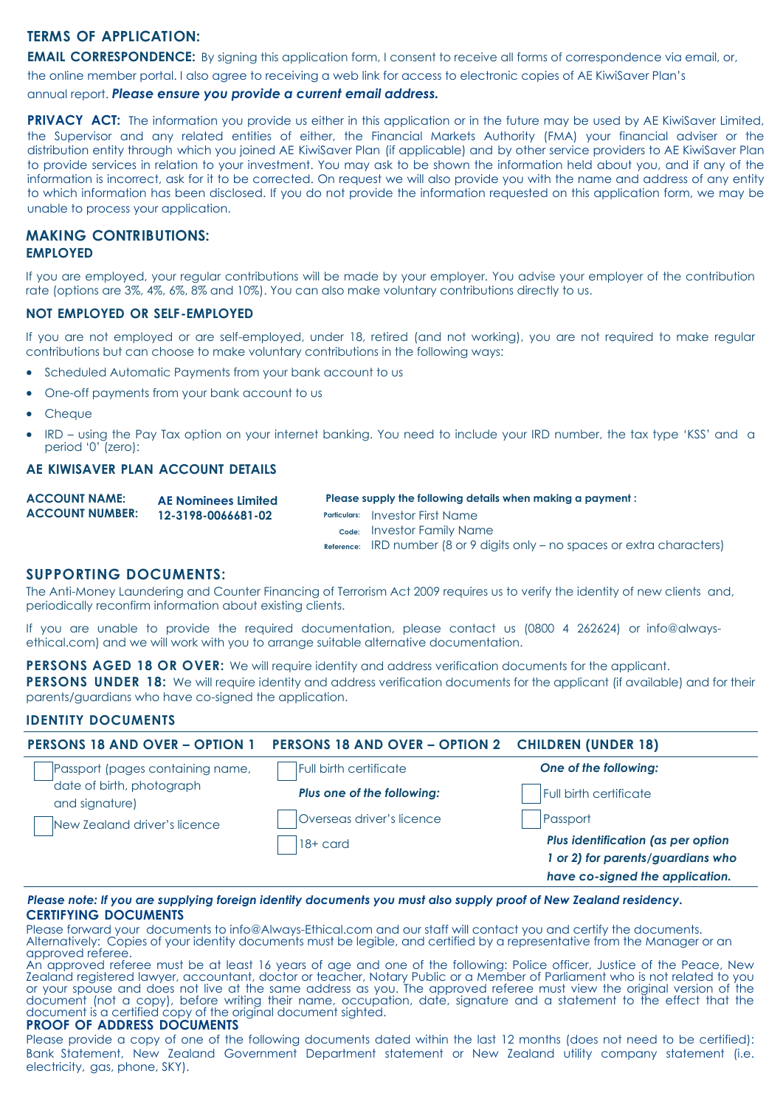# **TERMS OF APPLICATION:**

**EMAIL CORRESPONDENCE:** By signing this application form, I consent to receive all forms of correspondence via email, or,

the online member portal. I also agree to receiving a web link for access to electronic copies of AE KiwiSaver Plan's

#### annual report. *Please ensure you provide a current email address.*

**PRIVACY ACT:** The information you provide us either in this application or in the future may be used by AE KiwiSaver Limited, the Supervisor and any related entities of either, the Financial Markets Authority (FMA) your financial adviser or the distribution entity through which you joined AE KiwiSaver Plan (if applicable) and by other service providers to AE KiwiSaver Plan to provide services in relation to your investment. You may ask to be shown the information held about you, and if any of the information is incorrect, ask for it to be corrected. On request we will also provide you with the name and address of any entity to which information has been disclosed. If you do not provide the information requested on this application form, we may be unable to process your application.

### **MAKING CONTRIBUTIONS: EMPLOYED**

If you are employed, your regular contributions will be made by your employer. You advise your employer of the contribution rate (options are 3%, 4%, 6%, 8% and 10%). You can also make voluntary contributions directly to us.

#### **NOT EMPLOYED OR SELF-EMPLOYED**

If you are not employed or are self-employed, under 18, retired (and not working), you are not required to make regular contributions but can choose to make voluntary contributions in the following ways:

- Scheduled Automatic Payments from your bank account to us
- One-off payments from your bank account to us
- Cheque
- IRD using the Pay Tax option on your internet banking. You need to include your IRD number, the tax type 'KSS' and a period '0' (zero):

# **AE KIWISAVER PLAN ACCOUNT DETAILS**

| <b>ACCOUNT NAME:</b><br><b>ACCOUNT NUMBER:</b> | <b>AE Nominees Limited</b><br>12-3198-0066681-02 | Please supply the following details when making a payment: |                                                                                |  |
|------------------------------------------------|--------------------------------------------------|------------------------------------------------------------|--------------------------------------------------------------------------------|--|
|                                                |                                                  |                                                            | <b>Particulars:</b> Investor First Name                                        |  |
|                                                |                                                  |                                                            | c <sub>ode:</sub> Investor Family Name                                         |  |
|                                                |                                                  |                                                            | $Reference:$ IRD number (8 or 9 digits only $-$ no spaces or extra characters) |  |
|                                                |                                                  |                                                            |                                                                                |  |

### **SUPPORTING DOCUMENTS:**

The Anti-Money Laundering and Counter Financing of Terrorism Act 2009 requires us to verify the identity of new clients and, periodically reconfirm information about existing clients.

If you are unable to provide the required documentation, please contact us (0800 4 262624) or info@alwaysethical.com) and we will work with you to arrange suitable alternative documentation.

**PERSONS AGED 18 OR OVER:** We will require identity and address verification documents for the applicant. **PERSONS UNDER 18:** We will require identity and address verification documents for the applicant (if available) and for their parents/guardians who have co-signed the application.

#### **IDENTITY DOCUMENTS**

| <b>PERSONS 18 AND OVER - OPTION 1</b>                                                                           | PERSONS 18 AND OVER - OPTION 2 CHILDREN (UNDER 18) |                                    |
|-----------------------------------------------------------------------------------------------------------------|----------------------------------------------------|------------------------------------|
| Passport (pages containing name,<br>date of birth, photograph<br>and signature)<br>New Zealand driver's licence | Full birth certificate                             | One of the following:              |
|                                                                                                                 | Plus one of the following:                         | Full birth certificate             |
|                                                                                                                 | Overseas driver's licence                          | Passport                           |
|                                                                                                                 | $18 +$ card                                        | Plus identification (as per option |
|                                                                                                                 |                                                    | 1 or 2) for parents/guardians who  |
|                                                                                                                 |                                                    | have co-signed the application.    |

#### *Please note: If you are supplying foreign identity documents you must also supply proof of New Zealand residency.*  **CERTIFYING DOCUMENTS**

Please forward your documents to info@Always-Ethical.com and our staff will contact you and certify the documents. Alternatively: Copies of your identity documents must be legible, and certified by a representative from the Manager or an approved referee.

An approved referee must be at least 16 years of age and one of the following: Police officer, Justice of the Peace, New Zealand registered lawyer, accountant, doctor or teacher, Notary Public or a Member of Parliament who is not related to you or your spouse and does not live at the same address as you. The approved referee must view the original version of the document (not a copy), before writing their name, occupation, date, signature and a statement to the effect that the document is a certified copy of the original document sighted.

#### **PROOF OF ADDRESS DOCUMENTS**

Please provide a copy of one of the following documents dated within the last 12 months (does not need to be certified): Bank Statement, New Zealand Government Department statement or New Zealand utility company statement (i.e. electricity, gas, phone, SKY).